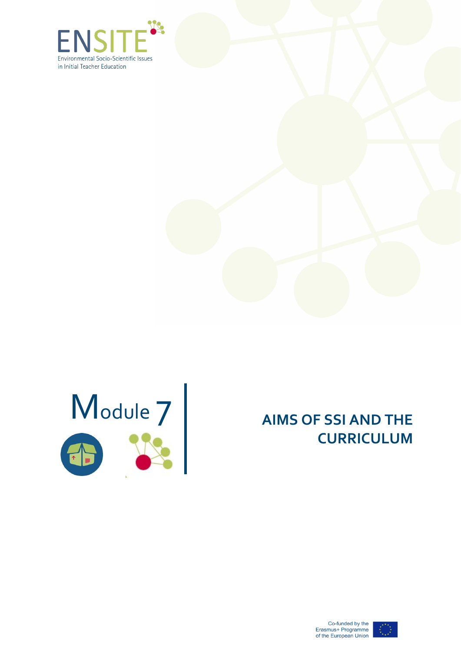





# 7 **AIMS OF SSI AND THE CURRICULUM**



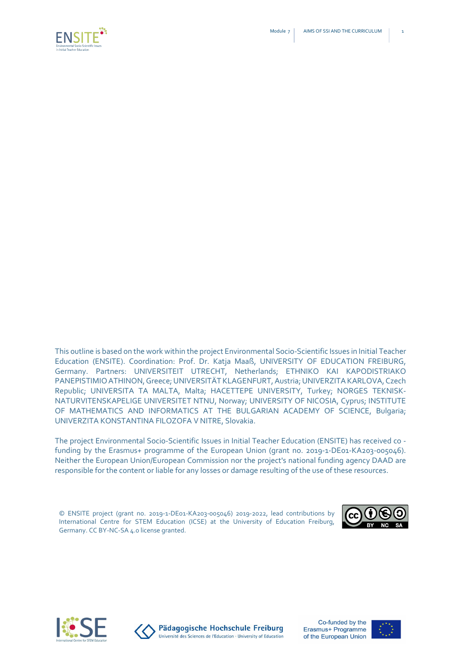

This outline is based on the work within the project Environmental Socio-Scientific Issues in Initial Teacher Education (ENSITE). Coordination: Prof. Dr. Katja Maaß, UNIVERSITY OF EDUCATION FREIBURG, Germany. Partners: UNIVERSITEIT UTRECHT, Netherlands; ETHNIKO KAI KAPODISTRIAKO PANEPISTIMIO ATHINON,Greece; UNIVERSITÄT KLAGENFURT, Austria; UNIVERZITA KARLOVA, Czech Republic; UNIVERSITA TA MALTA, Malta; HACETTEPE UNIVERSITY, Turkey; NORGES TEKNISK-NATURVITENSKAPELIGE UNIVERSITET NTNU, Norway; UNIVERSITY OF NICOSIA, Cyprus; INSTITUTE OF MATHEMATICS AND INFORMATICS AT THE BULGARIAN ACADEMY OF SCIENCE, Bulgaria; UNIVERZITA KONSTANTINA FILOZOFA V NITRE, Slovakia.

The project Environmental Socio-Scientific Issues in Initial Teacher Education (ENSITE) has received co funding by the Erasmus+ programme of the European Union (grant no. 2019-1-DE01-KA203-005046). Neither the European Union/European Commission nor the project's national funding agency DAAD are responsible for the content or liable for any losses or damage resulting of the use of these resources.

© ENSITE project (grant no. 2019-1-DE01-KA203-005046) 2019-2022, lead contributions by International Centre for STEM Education (ICSE) at the University of Education Freiburg, Germany. CC BY-NC-SA 4.0 license granted.







Pädagogische Hochschule Freiburg Université des Sciences de l'Education · University of Education

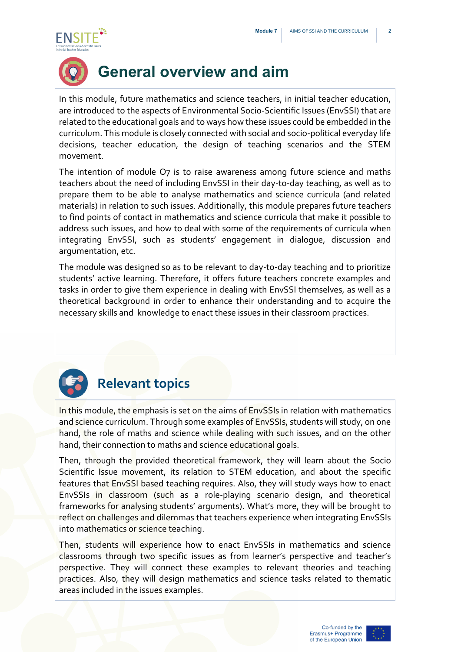



## **General overview and aim**

In this module, future mathematics and science teachers, in initial teacher education, are introduced to the aspects of Environmental Socio-Scientific Issues (EnvSSI) that are related to the educational goals and to ways how these issues could be embedded in the curriculum. This module is closely connected with social and socio-political everyday life decisions, teacher education, the design of teaching scenarios and the STEM movement.

The intention of module O<sub>7</sub> is to raise awareness among future science and maths teachers about the need of including EnvSSI in their day-to-day teaching, as well as to prepare them to be able to analyse mathematics and science curricula (and related materials) in relation to such issues. Additionally, this module prepares future teachers to find points of contact in mathematics and science curricula that make it possible to address such issues, and how to deal with some of the requirements of curricula when integrating EnvSSI, such as students' engagement in dialogue, discussion and argumentation, etc.

The module was designed so as to be relevant to day-to-day teaching and to prioritize students' active learning. Therefore, it offers future teachers concrete examples and tasks in order to give them experience in dealing with EnvSSI themselves, as well as a theoretical background in order to enhance their understanding and to acquire the necessary skills and knowledge to enact these issues in their classroom practices.



### **Relevant topics**

In this module, the emphasis is set on the aims of EnvSSIs in relation with mathematics and science curriculum. Through some examples of EnvSSIs, students will study, on one hand, the role of maths and science while dealing with such issues, and on the other hand, their connection to maths and science educational goals.

Then, through the provided theoretical framework, they will learn about the Socio Scientific Issue movement, its relation to STEM education, and about the specific features that EnvSSI based teaching requires. Also, they will study ways how to enact EnvSSIs in classroom (such as a role-playing scenario design, and theoretical frameworks for analysing students' arguments). What's more, they will be brought to reflect on challenges and dilemmas that teachers experience when integrating EnvSSIs into mathematics or science teaching.

Then, students will experience how to enact EnvSSIs in mathematics and science classrooms through two specific issues as from learner's perspective and teacher's perspective. They will connect these examples to relevant theories and teaching practices. Also, they will design mathematics and science tasks related to thematic areas included in the issues examples.

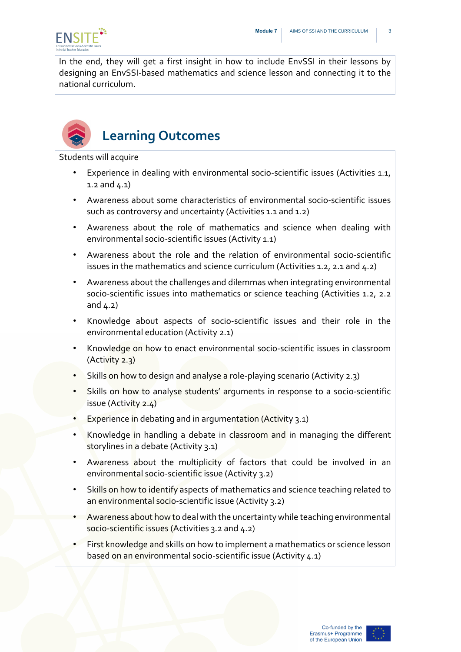

In the end, they will get a first insight in how to include EnvSSI in their lessons by designing an EnvSSI-based mathematics and science lesson and connecting it to the national curriculum.



### **Learning Outcomes**

Students will acquire

- Experience in dealing with environmental socio-scientific issues (Activities 1.1, 1.2 and  $\Delta$ .1)
- Awareness about some characteristics of environmental socio-scientific issues such as controversy and uncertainty (Activities 1.1 and 1.2)
- Awareness about the role of mathematics and science when dealing with environmental socio-scientific issues (Activity 1.1)
- Awareness about the role and the relation of environmental socio-scientific issues in the mathematics and science curriculum (Activities 1.2, 2.1 and 4.2)
- Awareness about the challenges and dilemmas when integrating environmental socio-scientific issues into mathematics or science teaching (Activities 1.2, 2.2 and  $(4.2)$
- Knowledge about aspects of socio-scientific issues and their role in the environmental education (Activity 2.1)
- Knowledge on how to enact environmental socio-scientific issues in classroom (Activity 2.3)
- Skills on how to design and analyse a role-playing scenario (Activity 2.3)
- Skills on how to analyse students' arguments in response to a socio-scientific issue (Activity 2.4)
- Experience in debating and in argumentation (Activity 3.1)
- Knowledge in handling a debate in classroom and in managing the different storylines in a debate (Activity 3.1)
- Awareness about the multiplicity of factors that could be involved in an environmental socio-scientific issue (Activity 3.2)
- Skills on how to identify aspects of mathematics and science teaching related to an environmental socio-scientific issue (Activity 3.2)
- Awareness about how to deal with the uncertainty while teaching environmental socio-scientific issues (Activities 3.2 and 4.2)
- First knowledge and skills on how to implement a mathematics or science lesson based on an environmental socio-scientific issue (Activity 4.1)

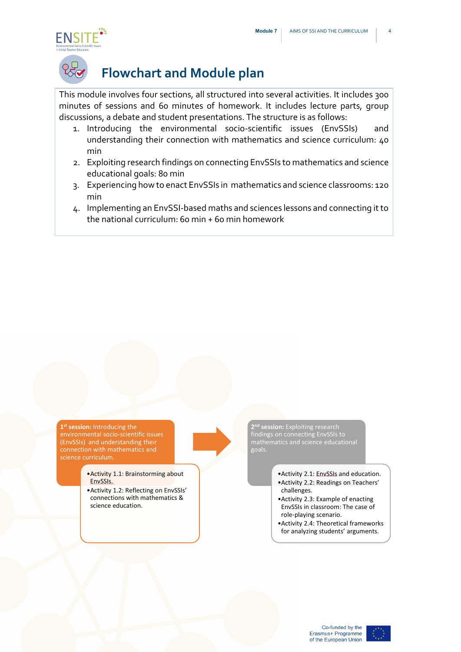



### **Flowchart and Module plan**

This module involves four sections, all structured into several activities. It includes 300 minutes of sessions and 60 minutes of homework. It includes lecture parts, group discussions, a debate and student presentations. The structure is as follows:

- 1. Introducing the environmental socio-scientific issues (EnvSSIs) and understanding their connection with mathematics and science curriculum: 40 min
- 2. Exploiting research findings on connecting EnvSSIs to mathematics and science educational goals: 80 min
- 3. Experiencing how to enact EnvSSIs in mathematics and science classrooms: 120 min
- 4. Implementing an EnvSSI-based maths and sciences lessons and connecting it to the national curriculum: 60 min + 60 min homework

**1st session:** Introducing the environmental socio-scientific issues (EnvSSIs) and understanding their connection with mathematics and science curriculum.

> •Activity 1.1: Brainstorming about EnvSSIs.

•Activity 1.2: Reflecting on EnvSSIs' connections with mathematics & science education.

**2nd session:** Exploiting research findings on connecting EnvSSIs to goals.

> •Activity 2.1: ΕnvSSIs and education. •Activity 2.2: Readings on Teachers' challenges.

- •Activity 2.3: Example of enacting EnvSSIs in classroom: The case of role-playing scenario.
- •Activity 2.4: Theoretical frameworks for analyzing students' arguments.

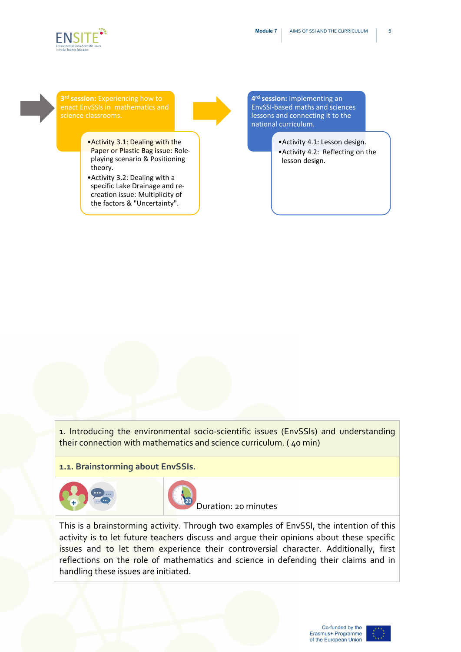

science classrooms.

- •Activity 3.1: Dealing with the Paper or Plastic Bag issue: Roleplaying scenario & Positioning theory.
- •Activity 3.2: Dealing with a specific Lake Drainage and recreation issue: Multiplicity of the factors & "Uncertainty".

**4rd session:** Implementing an EnvSSI-based maths and sciences lessons and connecting it to the national curriculum.

> •Activity 4.1: Lesson design. •Activity 4.2: Reflecting on the lesson design.

1. Introducing the environmental socio-scientific issues (EnvSSIs) and understanding their connection with mathematics and science curriculum. ( 40 min)

**1.1. Brainstorming about EnvSSIs.**





Duration: 20 minutes

This is a brainstorming activity. Through two examples of EnvSSI, the intention of this activity is to let future teachers discuss and arque their opinions about these specific issues and to let them experience their controversial character. Additionally, first reflections on the role of mathematics and science in defending their claims and in handling these issues are initiated.

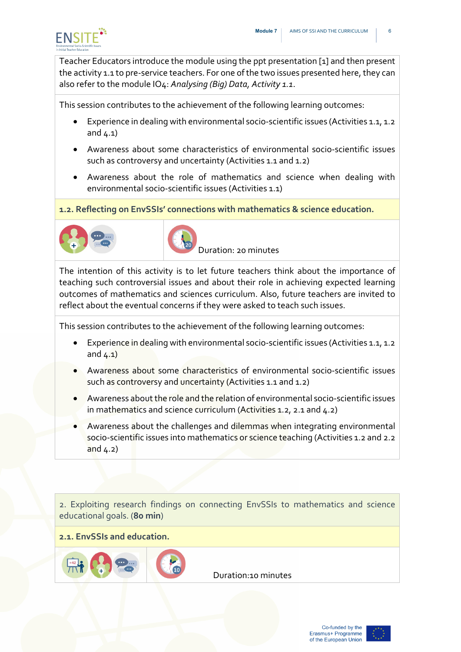

Teacher Educators introduce the module using the ppt presentation [1] and then present the activity 1.1 to pre-service teachers. For one of the two issues presented here, they can also refer to the module IO4: *Analysing (Big) Data, Activity 1.1*.

This session contributes to the achievement of the following learning outcomes:

- Experience in dealing with environmental socio-scientific issues (Activities 1.1, 1.2 and  $(4.1)$
- Awareness about some characteristics of environmental socio-scientific issues such as controversy and uncertainty (Activities 1.1 and 1.2)
- Awareness about the role of mathematics and science when dealing with environmental socio-scientific issues (Activities 1.1)

**1.2. Reflecting on EnvSSIs' connections with mathematics & science education.**





Duration: 20 minutes

The intention of this activity is to let future teachers think about the importance of teaching such controversial issues and about their role in achieving expected learning outcomes of mathematics and sciences curriculum. Also, future teachers are invited to reflect about the eventual concerns if they were asked to teach such issues.

This session contributes to the achievement of the following learning outcomes:

- Experience in dealing with environmental socio-scientific issues (Activities 1.1, 1.2 and  $(4.1)$
- Awareness about some characteristics of environmental socio-scientific issues such as controversy and uncertainty (Activities 1.1 and 1.2)
- Awareness about the role and the relation of environmental socio-scientific issues in mathematics and science curriculum (Activities 1.2, 2.1 and 4.2)
- Awareness about the challenges and dilemmas when integrating environmental socio-scientific issues into mathematics or science teaching (Activities 1.2 and 2.2 and  $4.2)$

2. Exploiting research findings on connecting EnvSSIs to mathematics and science educational goals. (**80 min**)

**2.1. EnvSSIs and education.**



Duration:10 minutes

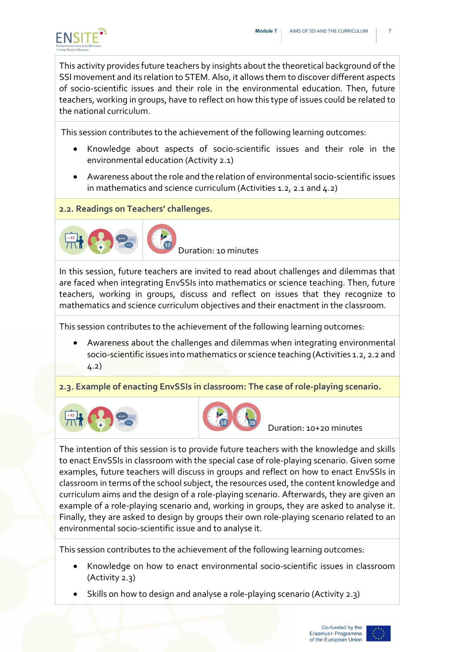

This activity provides future teachers by insights about the theoretical background of the SSI movement and its relation to STEM. Also, it allows them to discover different aspects of socio-scientific issues and their role in the environmental education. Then, future teachers, working in groups, have to reflect on how this type of issues could be related to the national curriculum.

This session contributes to the achievement of the following learning outcomes:

- Knowledge about aspects of socio-scientific issues and their role in the environmental education (Activity 2.1)
- Awareness about the role and the relation of environmental socio-scientific issues in mathematics and science curriculum (Activities 1.2, 2.1 and 4.2)
- **2.2. Readings on Teachers' challenges.**



Duration: 10 minutes

In this session, future teachers are invited to read about challenges and dilemmas that are faced when integrating EnvSSIs into mathematics or science teaching. Then, future teachers, working in groups, discuss and reflect on issues that they recognize to mathematics and science curriculum objectives and their enactment in the classroom.

This session contributes to the achievement of the following learning outcomes:

• Awareness about the challenges and dilemmas when integrating environmental socio-scientific issues into mathematics or science teaching (Activities 1.2, 2.2 and 4.2)

**2.3. Example of enacting EnvSSIs in classroom: The case of role-playing scenario.**





Duration: 10+20 minutes

The intention of this session is to provide future teachers with the knowledge and skills to enact EnvSSIs in classroom with the special case of role-playing scenario. Given some examples, future teachers will discuss in groups and reflect on how to enact EnvSSIs in classroom in terms of the school subject, the resources used, the content knowledge and curriculum aims and the design of a role-playing scenario. Afterwards, they are given an example of a role-playing scenario and, working in groups, they are asked to analyse it. Finally, they are asked to design by groups their own role-playing scenario related to an environmental socio-scientific issue and to analyse it.

This session contributes to the achievement of the following learning outcomes:

- Knowledge on how to enact environmental socio-scientific issues in classroom (Activity 2.3)
- Skills on how to design and analyse a role-playing scenario (Activity 2.3)

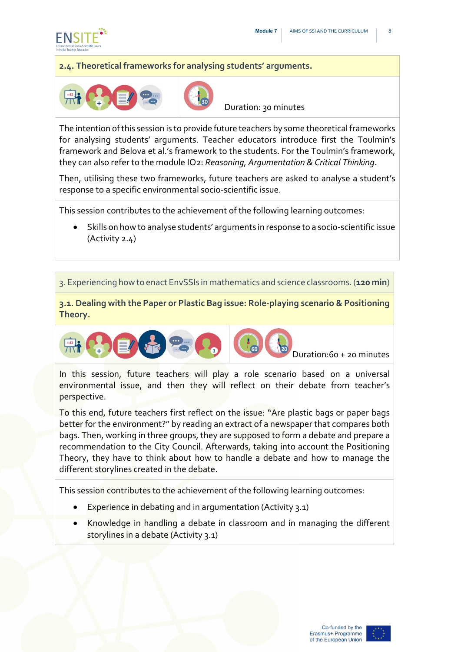

### **2.4. Theoretical frameworks for analysing students' arguments.**



Duration: 30 minutes

The intention of this session is to provide future teachers by some theoretical frameworks for analysing students' arguments. Teacher educators introduce first the Toulmin's framework and Belova et al.'s framework to the students. For the Toulmin's framework, they can also refer to the module IO2: *Reasoning, Argumentation & Critical Thinking*.

Then, utilising these two frameworks, future teachers are asked to analyse a student's response to a specific environmental socio-scientific issue.

This session contributes to the achievement of the following learning outcomes:

• Skills on how to analyse students' arguments in response to a socio-scientific issue (Activity 2.4)

3. Experiencing how to enact EnvSSIs in mathematics and science classrooms.(**120 min**)

**3.1. Dealing with the Paper or Plastic Bag issue: Role-playing scenario & Positioning Theory.**



Duration:60 + 20 minutes

In this session, future teachers will play a role scenario based on a universal environmental issue, and then they will reflect on their debate from teacher's perspective.

To this end, future teachers first reflect on the issue: "Are plastic bags or paper bags better for the environment?" by reading an extract of a newspaper that compares both bags. Then, working in three groups, they are supposed to form a debate and prepare a recommendation to the City Council. Afterwards, taking into account the Positioning Theory, they have to think about how to handle a debate and how to manage the different storylines created in the debate.

This session contributes to the achievement of the following learning outcomes:

- Experience in debating and in argumentation (Activity 3.1)
- Knowledge in handling a debate in classroom and in managing the different storylines in a debate (Activity 3.1)

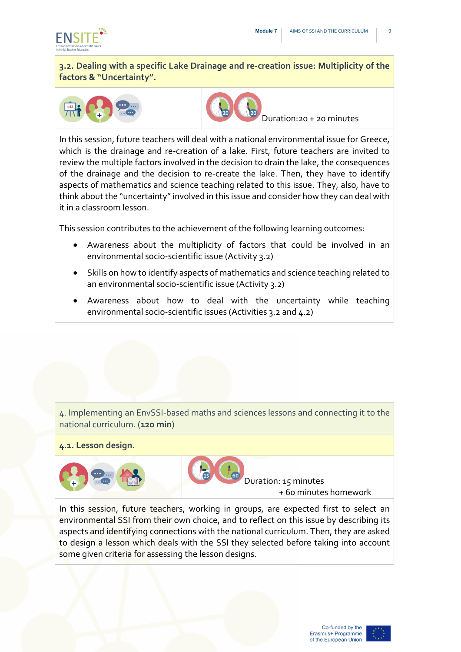

**3.2. Dealing with a specific Lake Drainage and re-creation issue: Multiplicity of the factors & "Uncertainty".**





Duration:20 + 20 minutes

In this session, future teachers will deal with a national environmental issue for Greece, which is the drainage and re-creation of a lake. First, future teachers are invited to review the multiple factors involved in the decision to drain the lake, the consequences of the drainage and the decision to re-create the lake. Then, they have to identify aspects of mathematics and science teaching related to this issue. They, also, have to think about the "uncertainty" involved in this issue and consider how they can deal with it in a classroom lesson.

This session contributes to the achievement of the following learning outcomes:

- Awareness about the multiplicity of factors that could be involved in an environmental socio-scientific issue (Activity 3.2)
- Skills on how to identify aspects of mathematics and science teaching related to an environmental socio-scientific issue (Activity 3.2)
- Awareness about how to deal with the uncertainty while teaching environmental socio-scientific issues (Activities 3.2 and 4.2)

4. Implementing an EnvSSI-based maths and sciences lessons and connecting it to the national curriculum. (**120 min**)

#### **4.1. Lesson design.**





Duration: 15 minutes + 60 minutes homework

In this session, future teachers, working in groups, are expected first to select an environmental SSI from their own choice, and to reflect on this issue by describing its aspects and identifying connections with the national curriculum. Then, they are asked to design a lesson which deals with the SSI they selected before taking into account some given criteria for assessing the lesson designs.

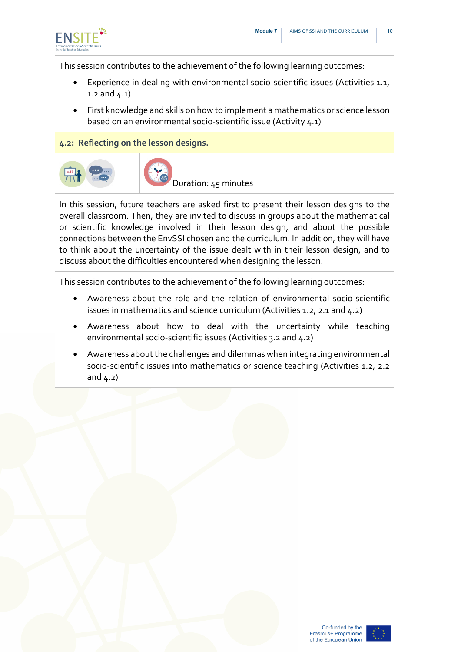

This session contributes to the achievement of the following learning outcomes:

- Experience in dealing with environmental socio-scientific issues (Activities 1.1, 1.2 and 4.1)
- First knowledge and skills on how to implement a mathematics or science lesson based on an environmental socio-scientific issue (Activity 4.1)

**4.2: Reflecting on the lesson designs.**





Duration: 45 minutes

In this session, future teachers are asked first to present their lesson designs to the overall classroom. Then, they are invited to discuss in groups about the mathematical or scientific knowledge involved in their lesson design, and about the possible connections between the EnvSSI chosen and the curriculum. In addition, they will have to think about the uncertainty of the issue dealt with in their lesson design, and to discuss about the difficulties encountered when designing the lesson.

This session contributes to the achievement of the following learning outcomes:

- Awareness about the role and the relation of environmental socio-scientific issues in mathematics and science curriculum (Activities 1.2, 2.1 and 4.2)
- Awareness about how to deal with the uncertainty while teaching environmental socio-scientific issues (Activities 3.2 and 4.2)
- Awareness about the challenges and dilemmas when integrating environmental socio-scientific issues into mathematics or science teaching (Activities 1.2, 2.2 and  $4.2$ )

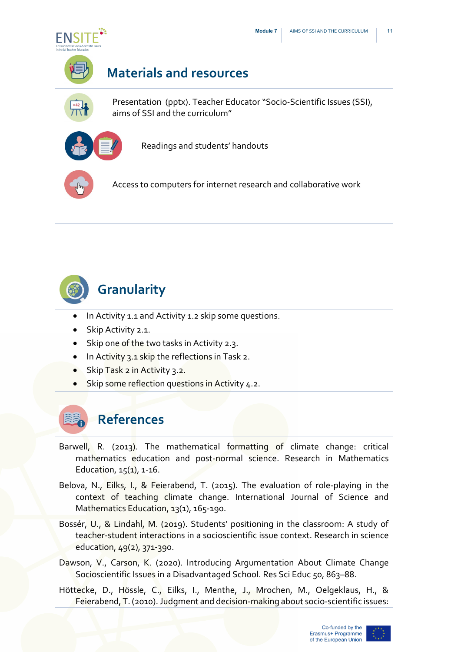

### **Materials and resources**



Presentation (pptx). Teacher Educator "Socio-Scientific Issues (SSI), aims of SSI and the curriculum"



Readings and students' handouts

Access to computers for internet research and collaborative work



### **Granularity**

- In Activity 1.1 and Activity 1.2 skip some questions.
- Skip Activity 2.1.
- Skip one of the two tasks in Activity 2.3.
- In Activity 3.1 skip the reflections in Task 2.
- Skip Task 2 in Activity 3.2.
- Skip some reflection questions in Activity 4.2.

### **References**

- Barwell, R. (2013). The mathematical formatting of climate change: critical mathematics education and post-normal science. Research in Mathematics Education,  $15(1)$ ,  $1-16$ .
- Belova, N., Eilks, I., & Feierabend, T. (2015). The evaluation of role-playing in the context of teaching climate change. International Journal of Science and Mathematics Education, 13(1), 165-190.
- Bossér, U., & Lindahl, M. (2019). Students' positioning in the classroom: A study of teacher-student interactions in a socioscientific issue context. Research in science education, 49(2), 371-390.

Dawson, V., Carson, K. (2020). Introducing Argumentation About Climate Change Socioscientific Issues in a Disadvantaged School. Res Sci Educ 50, 863-88.

Höttecke, D., Hössle, C., Eilks, I., Menthe, J., Mrochen, M., Oelgeklaus, H., & Feierabend, T. (2010). Judgment and decision-making about socio-scientific issues: